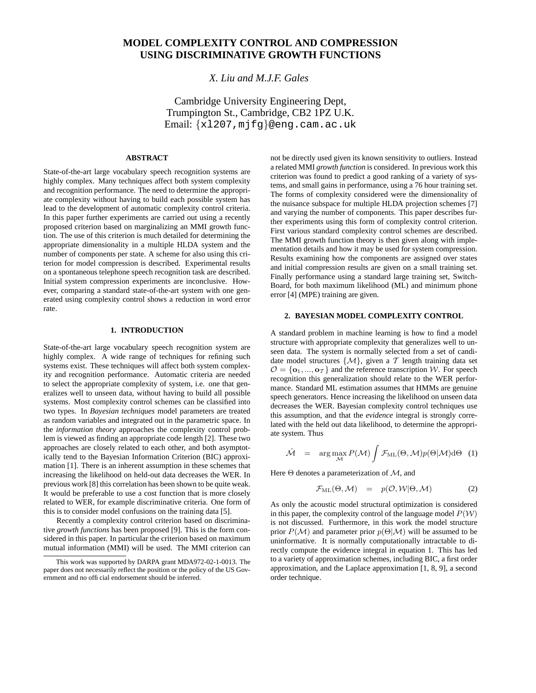# **MODEL COMPLEXITY CONTROL AND COMPRESSION USING DISCRIMINATIVE GROWTH FUNCTIONS**

*X. Liu and M.J.F. Gales*

Cambridge University Engineering Dept, Trumpington St., Cambridge, CB2 1PZ U.K. Email: {xl207,mjfg}@eng.cam.ac.uk

# **ABSTRACT**

State-of-the-art large vocabulary speech recognition systems are highly complex. Many techniques affect both system complexity and recognition performance. The need to determine the appropriate complexity without having to build each possible system has lead to the development of automatic complexity control criteria. In this paper further experiments are carried out using a recently proposed criterion based on marginalizing an MMI growth function. The use of this criterion is much detailed for determining the appropriate dimensionality in a multiple HLDA system and the number of components per state. A scheme for also using this criterion for model compression is described. Experimental results on a spontaneous telephone speech recognition task are described. Initial system compression experiments are inconclusive. However, comparing a standard state-of-the-art system with one generated using complexity control shows a reduction in word error rate.

#### **1. INTRODUCTION**

State-of-the-art large vocabulary speech recognition system are highly complex. A wide range of techniques for refining such systems exist. These techniques will affect both system complexity and recognition performance. Automatic criteria are needed to select the appropriate complexity of system, i.e. one that generalizes well to unseen data, without having to build all possible systems. Most complexity control schemes can be classified into two types. In *Bayesian techniques* model parameters are treated as random variables and integrated out in the parametric space. In the *information theory* approaches the complexity control problem is viewed as finding an appropriate code length [2]. These two approaches are closely related to each other, and both asymptotically tend to the Bayesian Information Criterion (BIC) approximation [1]. There is an inherent assumption in these schemes that increasing the likelihood on held-out data decreases the WER. In previous work [8] this correlation has been shown to be quite weak. It would be preferable to use a cost function that is more closely related to WER, for example discriminative criteria. One form of this is to consider model confusions on the training data [5].

Recently a complexity control criterion based on discriminative *growth functions* has been proposed [9]. This is the form considered in this paper. In particular the criterion based on maximum mutual information (MMI) will be used. The MMI criterion can not be directly used given its known sensitivity to outliers. Instead a related MMI *growth function* is considered. In previous work this criterion was found to predict a good ranking of a variety of systems, and small gains in performance, using a 76 hour training set. The forms of complexity considered were the dimensionality of the nuisance subspace for multiple HLDA projection schemes [7] and varying the number of components. This paper describes further experiments using this form of complexity control criterion. First various standard complexity control schemes are described. The MMI growth function theory is then given along with implementation details and how it may be used for system compression. Results examining how the components are assigned over states and initial compression results are given on a small training set. Finally performance using a standard large training set, Switch-Board, for both maximum likelihood (ML) and minimum phone error [4] (MPE) training are given.

#### **2. BAYESIAN MODEL COMPLEXITY CONTROL**

A standard problem in machine learning is how to find a model structure with appropriate complexity that generalizes well to unseen data. The system is normally selected from a set of candidate model structures  $\{M\}$ , given a T length training data set  $\mathcal{O} = {\{\mathbf{o}_1, ..., \mathbf{o}_T\}}$  and the reference transcription W. For speech recognition this generalization should relate to the WER performance. Standard ML estimation assumes that HMMs are genuine speech generators. Hence increasing the likelihood on unseen data decreases the WER. Bayesian complexity control techniques use this assumption, and that the *evidence* integral is strongly correlated with the held out data likelihood, to determine the appropriate system. Thus

$$
\hat{\mathcal{M}} = \arg \max_{\mathcal{M}} P(\mathcal{M}) \int \mathcal{F}_{\mathrm{ML}}(\Theta, \mathcal{M}) p(\Theta | \mathcal{M}) \mathrm{d}\Theta \quad (1)
$$

Here  $\Theta$  denotes a parameterization of  $\mathcal{M}$ , and

$$
\mathcal{F}_{\mathrm{ML}}(\Theta, \mathcal{M}) = p(\mathcal{O}, \mathcal{W}|\Theta, \mathcal{M}) \tag{2}
$$

As only the acoustic model structural optimization is considered in this paper, the complexity control of the language model  $P(\mathcal{W})$ is not discussed. Furthermore, in this work the model structure prior  $P(\mathcal{M})$  and parameter prior  $p(\Theta|\mathcal{M})$  will be assumed to be uninformative. It is normally computationally intractable to directly compute the evidence integral in equation 1. This has led to a variety of approximation schemes, including BIC, a first order approximation, and the Laplace approximation [1, 8, 9], a second order technique.

This work was supported by DARPA grant MDA972-02-1-0013. The paper does not necessarily reflect the position or the policy of the US Government and no official endorsement should be inferred.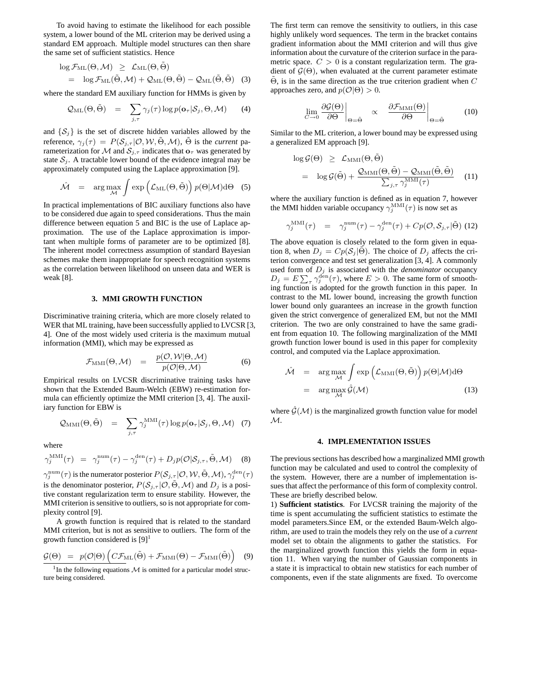To avoid having to estimate the likelihood for each possible system, a lower bound of the ML criterion may be derived using a standard EM approach. Multiple model structures can then share the same set of sufficient statistics. Hence

$$
\log \mathcal{F}_{\text{ML}}(\Theta, \mathcal{M}) \geq \mathcal{L}_{\text{ML}}(\Theta, \tilde{\Theta})
$$
  
= 
$$
\log \mathcal{F}_{\text{ML}}(\tilde{\Theta}, \mathcal{M}) + \mathcal{Q}_{\text{ML}}(\Theta, \tilde{\Theta}) - \mathcal{Q}_{\text{ML}}(\tilde{\Theta}, \tilde{\Theta})
$$
 (3)

where the standard EM auxiliary function for HMMs is given by

$$
\mathcal{Q}_{\text{ML}}(\Theta, \tilde{\Theta}) = \sum_{j,\tau} \gamma_j(\tau) \log p(\mathbf{o}_{\tau} | \mathcal{S}_j, \Theta, \mathcal{M}) \qquad (4)
$$

and  $\{S_i\}$  is the set of discrete hidden variables allowed by the reference,  $\gamma_j(\tau) = P(S_{j,\tau} | \mathcal{O}, \mathcal{W}, \Theta, \mathcal{M})$ ,  $\Theta$  is the *current* parameterization for M and  $S_{j,\tau}$  indicates that  $\mathbf{o}_{\tau}$  was generated by state  $S_j$ . A tractable lower bound of the evidence integral may be approximately computed using the Laplace approximation [9].

$$
\hat{\mathcal{M}} = \arg \max_{\mathcal{M}} \int \exp \left( \mathcal{L}_{\text{ML}}(\Theta, \tilde{\Theta}) \right) p(\Theta | \mathcal{M}) d\Theta
$$
 (5)

In practical implementations of BIC auxiliary functions also have to be considered due again to speed considerations. Thus the main difference between equation 5 and BIC is the use of Laplace approximation. The use of the Laplace approximation is important when multiple forms of parameter are to be optimized [8]. The inherent model correctness assumption of standard Bayesian schemes make them inappropriate for speech recognition systems as the correlation between likelihood on unseen data and WER is weak [8].

# **3. MMI GROWTH FUNCTION**

Discriminative training criteria, which are more closely related to WER that ML training, have been successfully applied to LVCSR [3, 4]. One of the most widely used criteria is the maximum mutual information (MMI), which may be expressed as

$$
\mathcal{F}_{\text{MMI}}(\Theta, \mathcal{M}) = \frac{p(\mathcal{O}, \mathcal{W}|\Theta, \mathcal{M})}{p(\mathcal{O}|\Theta, \mathcal{M})}
$$
(6)

Empirical results on LVCSR discriminative training tasks have shown that the Extended Baum-Welch (EBW) re-estimation formula can efficiently optimize the MMI criterion [3, 4]. The auxiliary function for EBW is

$$
Q_{\text{MMI}}(\Theta, \tilde{\Theta}) = \sum_{j,\tau} \gamma_j^{\text{MMI}}(\tau) \log p(\mathbf{o}_{\tau} | \mathcal{S}_j, \Theta, \mathcal{M}) \quad (7)
$$

where

$$
\gamma_j^{\text{MMI}}(\tau) = \gamma_j^{\text{num}}(\tau) - \gamma_j^{\text{den}}(\tau) + D_j p(\mathcal{O}|\mathcal{S}_{j,\tau}, \tilde{\Theta}, \mathcal{M}) \quad (8)
$$

 $\gamma_j^{\text{num}}(\tau)$  is the numerator posterior  $P(\mathcal{S}_{j,\tau} | \mathcal{O}, \mathcal{W}, \tilde{\Theta}, \mathcal{M}), \gamma_j^{\text{den}}(\tau)$ is the denominator posterior,  $P(S_{i,\tau} | O, \tilde{\Theta}, \mathcal{M})$  and  $D_i$  is a positive constant regularization term to ensure stability. However, the MMI criterion is sensitive to outliers, so is not appropriate for complexity control [9].

A growth function is required that is related to the standard MMI criterion, but is not as sensitive to outliers. The form of the growth function considered is  $[9]$ <sup>1</sup>

$$
\mathcal{G}(\Theta) = p(\mathcal{O}|\Theta) \left( C \mathcal{F}_{\text{ML}}(\tilde{\Theta}) + \mathcal{F}_{\text{MMI}}(\Theta) - \mathcal{F}_{\text{MMI}}(\tilde{\Theta}) \right) \quad (9)
$$

<sup>1</sup>In the following equations  $M$  is omitted for a particular model structure being considered.

The first term can remove the sensitivity to outliers, in this case highly unlikely word sequences. The term in the bracket contains gradient information about the MMI criterion and will thus give information about the curvature of the criterion surface in the parametric space.  $C > 0$  is a constant regularization term. The gradient of  $G(\Theta)$ , when evaluated at the current parameter estimate  $\Theta$ , is in the same direction as the true criterion gradient when C approaches zero, and  $p(\mathcal{O}|\Theta) > 0$ .

$$
\lim_{C \to 0} \frac{\partial \mathcal{G}(\Theta)}{\partial \Theta}\Big|_{\Theta = \tilde{\Theta}} \propto \left. \frac{\partial \mathcal{F}_{\text{MMI}}(\Theta)}{\partial \Theta}\right|_{\Theta = \tilde{\Theta}} \qquad (10)
$$

Similar to the ML criterion, a lower bound may be expressed using a generalized EM approach [9].

$$
\log \mathcal{G}(\Theta) \geq \mathcal{L}_{\text{MMI}}(\Theta, \tilde{\Theta})
$$
  
= 
$$
\log \mathcal{G}(\tilde{\Theta}) + \frac{\mathcal{Q}_{\text{MMI}}(\Theta, \tilde{\Theta}) - \mathcal{Q}_{\text{MMI}}(\tilde{\Theta}, \tilde{\Theta})}{\sum_{j,\tau} \gamma_j^{\text{MMI}}(\tau)}
$$
(11)

where the auxiliary function is defined as in equation 7, however the MMI hidden variable occupancy  $\gamma_j^{\text{MMI}}(\tau)$  is now set as

$$
\gamma_j^{\text{MMI}}(\tau) = \gamma_j^{\text{num}}(\tau) - \gamma_j^{\text{den}}(\tau) + Cp(\mathcal{O}, \mathcal{S}_{j,\tau} | \tilde{\Theta}) \tag{12}
$$

The above equation is closely related to the form given in equation 8, when  $D_i = Cp(\mathcal{S}_i | \Theta)$ . The choice of  $D_i$  affects the criterion convergence and test set generalization [3, 4]. A commonly used form of  $D_j$  is associated with the *denominator* occupancy  $D_j = E \sum_{\tau} \gamma_j^{\text{den}}(\tau)$ , where  $E > 0$ . The same form of smoothing function is adopted for the growth function in this paper. In contrast to the ML lower bound, increasing the growth function lower bound only guarantees an increase in the growth function given the strict convergence of generalized EM, but not the MMI criterion. The two are only constrained to have the same gradient from equation 10. The following marginalization of the MMI growth function lower bound is used in this paper for complexity control, and computed via the Laplace approximation.

$$
\hat{\mathcal{M}} = \arg \max_{\mathcal{M}} \int \exp \left( \mathcal{L}_{\text{MMI}}(\Theta, \tilde{\Theta}) \right) p(\Theta | \mathcal{M}) d\Theta
$$
  
= 
$$
\arg \max_{\mathcal{M}} \hat{\mathcal{G}}(\mathcal{M})
$$
 (13)

where  $\hat{G}(\mathcal{M})$  is the marginalized growth function value for model  $\mathcal{M}.$ 

# **4. IMPLEMENTATION ISSUES**

The previous sections has described how a marginalized MMI growth function may be calculated and used to control the complexity of the system. However, there are a number of implementation issues that affect the performance of this form of complexity control. These are briefly described below.

1) **Sufficient statistics**. For LVCSR training the majority of the time is spent accumulating the sufficient statistics to estimate the model parameters.Since EM, or the extended Baum-Welch algorithm, are used to train the models they rely on the use of a *current* model set to obtain the alignments to gather the statistics. For the marginalized growth function this yields the form in equation 11. When varying the number of Gaussian components in a state it is impractical to obtain new statistics for each number of components, even if the state alignments are fixed. To overcome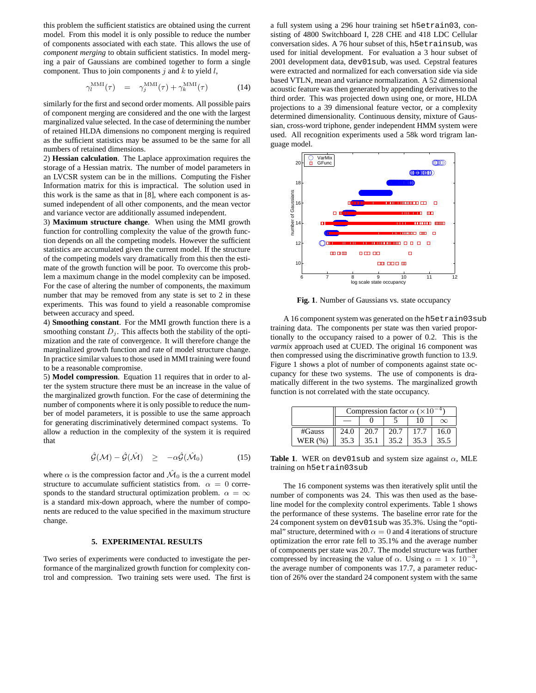this problem the sufficient statistics are obtained using the current model. From this model it is only possible to reduce the number of components associated with each state. This allows the use of *component merging* to obtain sufficient statistics. In model merging a pair of Gaussians are combined together to form a single component. Thus to join components  $j$  and  $k$  to yield  $l$ ,

$$
\gamma_l^{\text{MMI}}(\tau) = \gamma_j^{\text{MMI}}(\tau) + \gamma_k^{\text{MMI}}(\tau) \tag{14}
$$

similarly for the first and second order moments. All possible pairs of component merging are considered and the one with the largest marginalized value selected. In the case of determining the number of retained HLDA dimensions no component merging is required as the sufficient statistics may be assumed to be the same for all numbers of retained dimensions.

2) **Hessian calculation**. The Laplace approximation requires the storage of a Hessian matrix. The number of model parameters in an LVCSR system can be in the millions. Computing the Fisher Information matrix for this is impractical. The solution used in this work is the same as that in [8], where each component is assumed independent of all other components, and the mean vector and variance vector are additionally assumed independent.

3) **Maximum structure change**. When using the MMI growth function for controlling complexity the value of the growth function depends on all the competing models. However the sufficient statistics are accumulated given the current model. If the structure of the competing models vary dramatically from this then the estimate of the growth function will be poor. To overcome this problem a maximum change in the model complexity can be imposed. For the case of altering the number of components, the maximum number that may be removed from any state is set to 2 in these experiments. This was found to yield a reasonable compromise between accuracy and speed.

4) **Smoothing constant**. For the MMI growth function there is a smoothing constant  $D_j$ . This affects both the stability of the optimization and the rate of convergence. It will therefore change the marginalized growth function and rate of model structure change. In practice similar values to those used in MMI training were found to be a reasonable compromise.

5) **Model compression**. Equation 11 requires that in order to alter the system structure there must be an increase in the value of the marginalized growth function. For the case of determining the number of components where it is only possible to reduce the number of model parameters, it is possible to use the same approach for generating discriminatively determined compact systems. To allow a reduction in the complexity of the system it is required that

$$
\hat{\mathcal{G}}(\mathcal{M}) - \hat{\mathcal{G}}(\hat{\mathcal{M}}) \quad \geq \quad -\alpha \hat{\mathcal{G}}(\hat{\mathcal{M}}_0) \tag{15}
$$

where  $\alpha$  is the compression factor and  $\hat{\mathcal{M}}_0$  is the a current model structure to accumulate sufficient statistics from.  $\alpha = 0$  corresponds to the standard structural optimization problem.  $\alpha = \infty$ is a standard mix-down approach, where the number of components are reduced to the value specified in the maximum structure change.

### **5. EXPERIMENTAL RESULTS**

Two series of experiments were conducted to investigate the performance of the marginalized growth function for complexity control and compression. Two training sets were used. The first is a full system using a 296 hour training set h5etrain03, consisting of 4800 Switchboard I, 228 CHE and 418 LDC Cellular conversation sides. A 76 hour subset of this, h5etrainsub, was used for initial development. For evaluation a 3 hour subset of 2001 development data, dev01sub, was used. Cepstral features were extracted and normalized for each conversation side via side based VTLN, mean and variance normalization. A 52 dimensional acoustic feature was then generated by appending derivatives to the third order. This was projected down using one, or more, HLDA projections to a 39 dimensional feature vector, or a complexity determined dimensionality. Continuous density, mixture of Gaussian, cross-word triphone, gender independent HMM system were used. All recognition experiments used a 58k word trigram language model.



**Fig. 1**. Number of Gaussians vs. state occupancy

A 16 component system was generated on the h5etrain03sub training data. The components per state was then varied proportionally to the occupancy raised to a power of 0.2. This is the *varmix* approach used at CUED. The original 16 component was then compressed using the discriminative growth function to 13.9. Figure 1 shows a plot of number of components against state occupancy for these two systems. The use of components is dramatically different in the two systems. The marginalized growth function is not correlated with the state occupancy.

|         | Compression factor $\alpha$ ( $\times$ 10 |      |      |      |      |  |  |  |
|---------|-------------------------------------------|------|------|------|------|--|--|--|
|         |                                           |      |      |      |      |  |  |  |
| #Gauss  | 24.0                                      | 20.7 | 20.7 | 17.7 | 16.0 |  |  |  |
| WER (%) | 35.3                                      | 35.1 | 35.2 | 35.3 |      |  |  |  |

**Table 1.** WER on dev01sub and system size against  $\alpha$ , MLE training on h5etrain03sub

The 16 component systems was then iteratively split until the number of components was 24. This was then used as the baseline model for the complexity control experiments. Table 1 shows the performance of these systems. The baseline error rate for the 24 component system on dev01sub was 35.3%. Using the "optimal" structure, determined with  $\alpha = 0$  and 4 iterations of structure optimization the error rate fell to 35.1% and the average number of components per state was 20.7. The model structure was further compressed by increasing the value of  $\alpha$ . Using  $\alpha = 1 \times 10^{-3}$ , the average number of components was 17.7, a parameter reduction of 26% over the standard 24 component system with the same